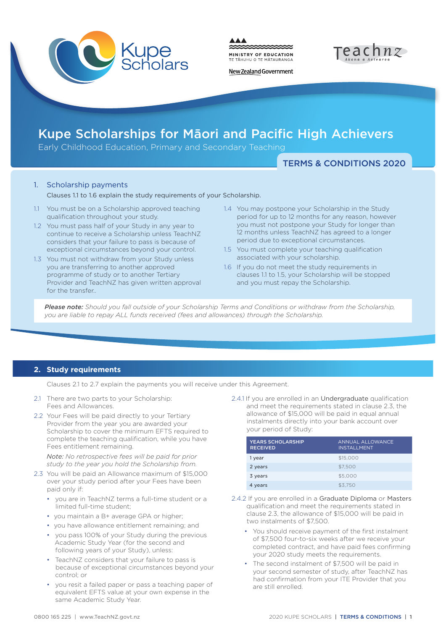

MINISTRY OF EDUCATION TE TAHUHU O TE MATAURANGA



New Zealand Government

# Kupe Scholarships for Māori and Pacific High Achievers

Early Childhood Education, Primary and Secondary Teaching

TERMS & CONDITIONS 2020

# 1. Scholarship payments

Clauses 1.1 to 1.6 explain the study requirements of your Scholarship.

- 1.1 You must be on a Scholarship approved teaching qualification throughout your study.
- 1.2 You must pass half of your Study in any year to continue to receive a Scholarship unless TeachNZ considers that your failure to pass is because of exceptional circumstances beyond your control.
- 1.3 You must not withdraw from your Study unless you are transferring to another approved programme of study or to another Tertiary Provider and TeachNZ has given written approval for the transfer..
- 1.4 You may postpone your Scholarship in the Study period for up to 12 months for any reason, however you must not postpone your Study for longer than 12 months unless TeachNZ has agreed to a longer period due to exceptional circumstances.
- 1.5 You must complete your teaching qualification associated with your scholarship.
- 1.6 If you do not meet the study requirements in clauses 1.1 to 1.5, your Scholarship will be stopped and you must repay the Scholarship.

*Please note: Should you fall outside of your Scholarship Terms and Conditions or withdraw from the Scholarship, you are liable to repay ALL funds received (fees and allowances) through the Scholarship.*

## **2. Study requirements**

Clauses 2.1 to 2.7 explain the payments you will receive under this Agreement.

- 2.1 There are two parts to your Scholarship: Fees and Allowances.
- 2.2 Your Fees will be paid directly to your Tertiary Provider from the year you are awarded your Scholarship to cover the minimum EFTS required to complete the teaching qualification, while you have Fees entitlement remaining.

*Note: No retrospective fees will be paid for prior study to the year you hold the Scholarship from.* 

- 2.3 You will be paid an Allowance maximum of \$15,000 over your study period after your Fees have been paid only if:
	- you are in TeachNZ terms a full-time student or a limited full-time student;
	- you maintain a B+ average GPA or higher;
	- you have allowance entitlement remaining; and
	- you pass 100% of your Study during the previous Academic Study Year (for the second and following years of your Study), unless:
	- TeachNZ considers that your failure to pass is because of exceptional circumstances beyond your control; or
	- you resit a failed paper or pass a teaching paper of equivalent EFTS value at your own expense in the same Academic Study Year.

2.4.1 If you are enrolled in an Undergraduate qualification and meet the requirements stated in clause 2.3, the allowance of \$15,000 will be paid in equal annual instalments directly into your bank account over your period of Study:

| <b>YEARS SCHOLARSHIP</b><br><b>RECEIVED</b> | ANNUAL ALLOWANCE<br><b>INSTALLMENT</b> |
|---------------------------------------------|----------------------------------------|
| 1 year                                      | \$15,000                               |
| 2 years                                     | \$7,500                                |
| 3 years                                     | \$5,000                                |
| 4 years                                     | \$3.750                                |

- 2.4.2 If you are enrolled in a Graduate Diploma or Masters qualification and meet the requirements stated in clause 2.3, the allowance of \$15,000 will be paid in two instalments of \$7,500.
	- You should receive payment of the first instalment of \$7,500 four-to-six weeks after we receive your completed contract, and have paid fees confirming your 2020 study meets the requirements.
	- The second instalment of \$7,500 will be paid in your second semester of study, after TeachNZ has had confirmation from your ITE Provider that you are still enrolled.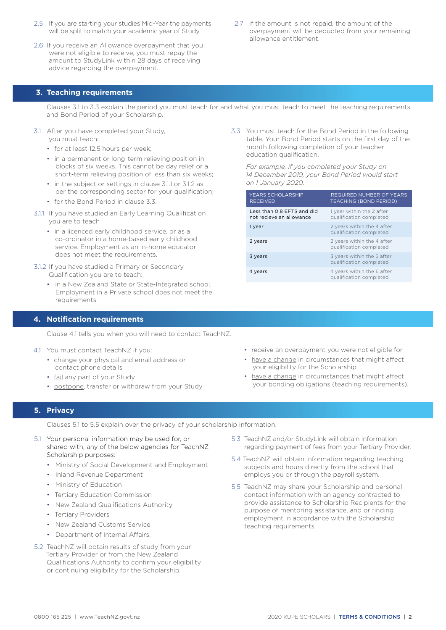- 2.5 If you are starting your studies Mid-Year the payments will be split to match your academic year of Study.
- 2.6 If you receive an Allowance overpayment that you were not eligible to receive, you must repay the amount to StudyLink within 28 days of receiving advice regarding the overpayment.
- 2.7 If the amount is not repaid, the amount of the overpayment will be deducted from your remaining allowance entitlement.

#### **3. Teaching requirements**

Clauses 3.1 to 3.3 explain the period you must teach for and what you must teach to meet the teaching requirements and Bond Period of your Scholarship.

- 3.1 After you have completed your Study, you must teach:
	- for at least 12.5 hours per week;
	- in a permanent or long-term relieving position in blocks of six weeks. This cannot be day relief or a short-term relieving position of less than six weeks;
	- in the subject or settings in clause 3.1.1 or 3.1.2 as per the corresponding sector for your qualification;
	- for the Bond Period in clause 3.3.
- 3.1.1 If you have studied an Early Learning Qualification you are to teach
	- in a licenced early childhood service, or as a co-ordinator in a home-based early childhood service. Employment as an in-home educator does not meet the requirements.
- 3.1.2 If you have studied a Primary or Secondary Qualification you are to teach:
	- in a New Zealand State or State-Integrated school. Employment in a Private school does not meet the requirements.

#### **4. Notification requirements**

Clause 4.1 tells you when you will need to contact TeachNZ.

- 4.1 You must contact TeachNZ if you:
	- change your physical and email address or contact phone details
	- fail any part of your Study
	- postpone, transfer or withdraw from your Study

3.3 You must teach for the Bond Period in the following table. Your Bond Period starts on the first day of the month following completion of your teacher education qualification.

 *For example, if you completed your Study on 14 December 2019, your Bond Period would start on 1 January 2020.*

| <b>YEARS SCHOLARSHIP</b><br><b>RECEIVED</b>            | <b>REQUIRED NUMBER OF YEARS</b><br><b>TEACHING (BOND PERIOD)</b> |
|--------------------------------------------------------|------------------------------------------------------------------|
| Less than 0.8 EFTS and did<br>not recieve an allowance | 1 year within the 2 after<br>qualification completed             |
| 1 year                                                 | 2 years within the 4 after<br>qualification completed            |
| 2 years                                                | 2 years within the 4 after<br>qualification completed            |
| 3 years                                                | 3 years within the 5 after<br>qualification completed            |
| 4 years                                                | 4 years within the 6 after<br>qualification completed            |
|                                                        |                                                                  |

- receive an overpayment you were not eligible for
- have a change in circumstances that might affect your eligibility for the Scholarship
- have a change in circumstances that might affect your bonding obligations (teaching requirements).

#### **5. Privacy**

Clauses 5.1 to 5.5 explain over the privacy of your scholarship information.

- 5.1 Your personal information may be used for, or shared with, any of the below agencies for TeachNZ Scholarship purposes:
	- Ministry of Social Development and Employment
	- Inland Revenue Department
	- Ministry of Education
	- Tertiary Education Commission
	- New Zealand Qualifications Authority
	- Tertiary Providers
	- New Zealand Customs Service
	- Department of Internal Affairs.
- 5.2 TeachNZ will obtain results of study from your Tertiary Provider or from the New Zealand Qualifications Authority to confirm your eligibility or continuing eligibility for the Scholarship.
- 5.3 TeachNZ and/or StudyLink will obtain information regarding payment of fees from your Tertiary Provider.
- 5.4 TeachNZ will obtain information regarding teaching subjects and hours directly from the school that employs you or through the payroll system.
- 5.5 TeachNZ may share your Scholarship and personal contact information with an agency contracted to provide assistance to Scholarship Recipients for the purpose of mentoring assistance, and or finding employment in accordance with the Scholarship teaching requirements.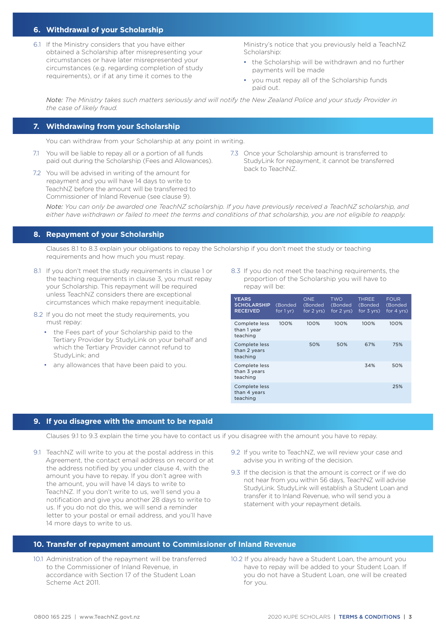## **6. Withdrawal of your Scholarship**

6.1 If the Ministry considers that you have either obtained a Scholarship after misrepresenting your circumstances or have later misrepresented your circumstances (e.g. regarding completion of study requirements), or if at any time it comes to the

Ministry's notice that you previously held a TeachNZ Scholarship:

- the Scholarship will be withdrawn and no further payments will be made
- you must repay all of the Scholarship funds paid out.

*Note: The Ministry takes such matters seriously and will notify the New Zealand Police and your study Provider in the case of likely fraud.*

#### **7. Withdrawing from your Scholarship**

You can withdraw from your Scholarship at any point in writing.

- 7.1 You will be liable to repay all or a portion of all funds paid out during the Scholarship (Fees and Allowances).
- 7.2 You will be advised in writing of the amount for repayment and you will have 14 days to write to TeachNZ before the amount will be transferred to Commissioner of Inland Revenue (see clause 9).
- 7.3 Once your Scholarship amount is transferred to StudyLink for repayment, it cannot be transferred back to TeachNZ.

*Note: You can only be awarded one TeachNZ scholarship. If you have previously received a TeachNZ scholarship, and either have withdrawn or failed to meet the terms and conditions of that scholarship, you are not eligible to reapply.*

#### **8. Repayment of your Scholarship**

Clauses 8.1 to 8.3 explain your obligations to repay the Scholarship if you don't meet the study or teaching requirements and how much you must repay.

- 8.1 If you don't meet the study requirements in clause 1 or the teaching requirements in clause 3, you must repay your Scholarship. This repayment will be required unless TeachNZ considers there are exceptional circumstances which make repayment inequitable.
- 8.2 If you do not meet the study requirements, you must repay:
	- the Fees part of your Scholarship paid to the Tertiary Provider by StudyLink on your behalf and which the Tertiary Provider cannot refund to StudyLink; and
	- any allowances that have been paid to you.

8.3 If you do not meet the teaching requirements, the proportion of the Scholarship you will have to repay will be:

| <b>YEARS</b><br><b>SCHOLARSHIP</b><br><b>RECEIVED</b> | (Bonded<br>for $1yr$ ) | <b>ONE</b><br>(Bonded<br>for $2$ yrs) | <b>TWO</b><br>(Bonded<br>for $2 \, \text{vrs}$ ) | <b>THREE</b><br>(Bonded<br>for $3 \, \text{vrs}$ ) | <b>FOUR</b><br>(Bonded<br>for $4$ yrs) |
|-------------------------------------------------------|------------------------|---------------------------------------|--------------------------------------------------|----------------------------------------------------|----------------------------------------|
| Complete less<br>than 1 year<br>teaching              | 100%                   | 100%                                  | 100%                                             | 100%                                               | 100%                                   |
| Complete less<br>than 2 years<br>teaching             |                        | 50%                                   | 50%                                              | 67%                                                | 75%                                    |
| Complete less<br>than 3 years<br>teaching             |                        |                                       |                                                  | 34%                                                | 50%                                    |
| Complete less<br>than 4 years<br>teaching             |                        |                                       |                                                  |                                                    | 25%                                    |

#### **9. If you disagree with the amount to be repaid**

Clauses 9.1 to 9.3 explain the time you have to contact us if you disagree with the amount you have to repay.

- 9.1 TeachNZ will write to you at the postal address in this Agreement, the contact email address on record or at the address notified by you under clause 4, with the amount you have to repay. If you don't agree with the amount, you will have 14 days to write to TeachNZ. If you don't write to us, we'll send you a notification and give you another 28 days to write to us. If you do not do this, we will send a reminder letter to your postal or email address, and you'll have 14 more days to write to us.
- 9.2 If you write to TeachNZ, we will review your case and advise you in writing of the decision.
- 9.3 If the decision is that the amount is correct or if we do not hear from you within 56 days, TeachNZ will advise StudyLink. StudyLink will establish a Student Loan and transfer it to Inland Revenue, who will send you a statement with your repayment details.

#### **10. Transfer of repayment amount to Commissioner of Inland Revenue**

- 10.1 Administration of the repayment will be transferred to the Commissioner of Inland Revenue, in accordance with Section 17 of the Student Loan Scheme Act 2011.
- 10.2 If you already have a Student Loan, the amount you have to repay will be added to your Student Loan. If you do not have a Student Loan, one will be created for you.